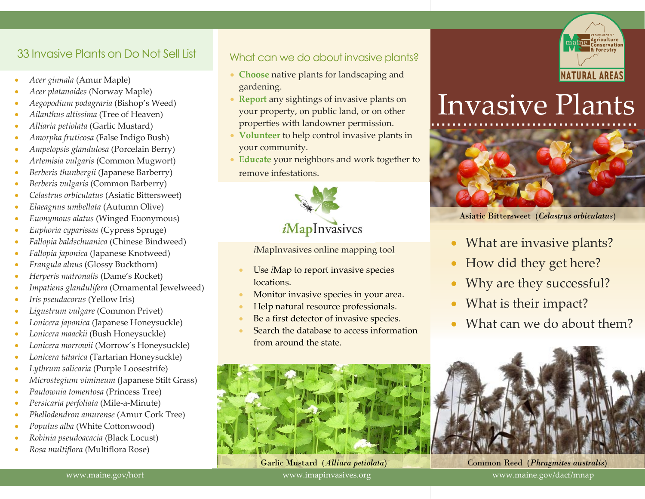## 33 Invasive Plants on Do Not Sell List

- *Acer ginnala* (Amur Maple)
- *Acer platanoides* (Norway Maple)
- *Aegopodium podagraria* (Bishop's Weed)
- *Ailanthus altissima* (Tree of Heaven)
- *Alliaria petiolata* (Garlic Mustard)
- *Amorpha fruticosa* (False Indigo Bush)
- *Ampelopsis glandulosa* (Porcelain Berry)
- *Artemisia vulgaris* (Common Mugwort)
- *Berberis thunbergii* (Japanese Barberry)
- *Berberis vulgaris* (Common Barberry)
- *Celastrus orbiculatus* (Asiatic Bittersweet)
- *Elaeagnus umbellata* (Autumn Olive)
- *Euonymous alatus* (Winged Euonymous)
- *Euphoria cyparissas* (Cypress Spruge)
- *Fallopia baldschuanica* (Chinese Bindweed)
- *Fallopia japonica* (Japanese Knotweed)
- *Frangula alnus* (Glossy Buckthorn)
- *Herperis matronalis* (Dame's Rocket)
- *Impatiens glandulifera* (Ornamental Jewelweed)
- *Iris pseudacorus* (Yellow Iris)
- *Ligustrum vulgare* (Common Privet)
- *Lonicera japonica* (Japanese Honeysuckle)
- *Lonicera maackii* (Bush Honeysuckle)
- *Lonicera morrowii* (Morrow's Honeysuckle)
- *Lonicera tatarica* (Tartarian Honeysuckle)
- *Lythrum salicaria* (Purple Loosestrife)
- *Microstegium vimineum* (Japanese Stilt Grass)
- *Paulownia tomentosa* (Princess Tree)
- *Persicaria perfoliata* (Mile-a-Minute)
- *Phellodendron amurense* (Amur Cork Tree)
- *Populus alba* (White Cottonwood)
- *Robinia pseudoacacia* (Black Locust)
- *Rosa multiflora* (Multiflora Rose)

## What can we do about invasive plants?

- **Choose** native plants for landscaping and gardening.
- **Report** any sightings of invasive plants on your property, on public land, or on other properties with landowner permission.
- **Volunteer** to help control invasive plants in your community.
- **Educate** your neighbors and work together to remove infestations.



#### *i*MapInvasives online mapping tool

- Use *i*Map to report invasive species locations.
- Monitor invasive species in your area.
- Help natural resource professionals.
- Be a first detector of invasive species.
- Search the database to access information from around the state.



Garlic Mustard (*Alliara petiolata*)

www.imapinvasives.org



# ………………………………… Invasive Plants



Asiatic Bittersweet (*Celastrus orbiculatus*)

- What are invasive plants?
- How did they get here?
- Why are they successful?
- What is their impact?
- What can we do about them?



Common Reed (*Phragmites australis*) www.maine.gov/dacf/mnap